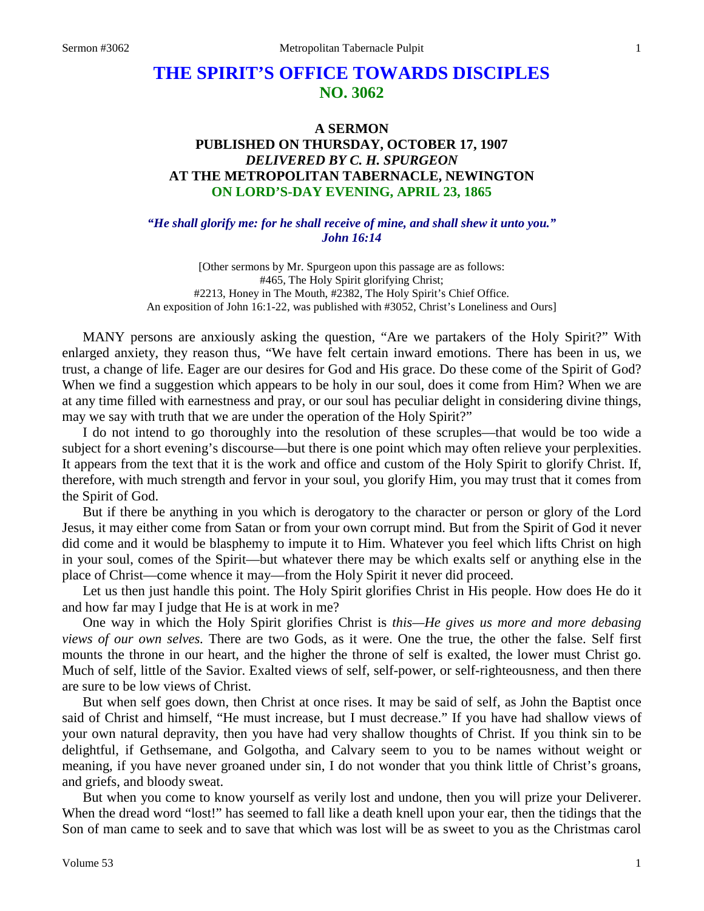# **THE SPIRIT'S OFFICE TOWARDS DISCIPLES NO. 3062**

## **A SERMON PUBLISHED ON THURSDAY, OCTOBER 17, 1907** *DELIVERED BY C. H. SPURGEON* **AT THE METROPOLITAN TABERNACLE, NEWINGTON ON LORD'S-DAY EVENING, APRIL 23, 1865**

*"He shall glorify me: for he shall receive of mine, and shall shew it unto you." John 16:14*

[Other sermons by Mr. Spurgeon upon this passage are as follows: #465, The Holy Spirit glorifying Christ; #2213, Honey in The Mouth, #2382, The Holy Spirit's Chief Office. An exposition of John 16:1-22, was published with #3052, Christ's Loneliness and Ours]

MANY persons are anxiously asking the question, "Are we partakers of the Holy Spirit?" With enlarged anxiety, they reason thus, "We have felt certain inward emotions. There has been in us, we trust, a change of life. Eager are our desires for God and His grace. Do these come of the Spirit of God? When we find a suggestion which appears to be holy in our soul, does it come from Him? When we are at any time filled with earnestness and pray, or our soul has peculiar delight in considering divine things, may we say with truth that we are under the operation of the Holy Spirit?"

I do not intend to go thoroughly into the resolution of these scruples—that would be too wide a subject for a short evening's discourse—but there is one point which may often relieve your perplexities. It appears from the text that it is the work and office and custom of the Holy Spirit to glorify Christ. If, therefore, with much strength and fervor in your soul, you glorify Him, you may trust that it comes from the Spirit of God.

But if there be anything in you which is derogatory to the character or person or glory of the Lord Jesus, it may either come from Satan or from your own corrupt mind. But from the Spirit of God it never did come and it would be blasphemy to impute it to Him. Whatever you feel which lifts Christ on high in your soul, comes of the Spirit—but whatever there may be which exalts self or anything else in the place of Christ—come whence it may—from the Holy Spirit it never did proceed.

Let us then just handle this point. The Holy Spirit glorifies Christ in His people. How does He do it and how far may I judge that He is at work in me?

One way in which the Holy Spirit glorifies Christ is *this—He gives us more and more debasing views of our own selves.* There are two Gods, as it were. One the true, the other the false. Self first mounts the throne in our heart, and the higher the throne of self is exalted, the lower must Christ go. Much of self, little of the Savior. Exalted views of self, self-power, or self-righteousness, and then there are sure to be low views of Christ.

But when self goes down, then Christ at once rises. It may be said of self, as John the Baptist once said of Christ and himself, "He must increase, but I must decrease." If you have had shallow views of your own natural depravity, then you have had very shallow thoughts of Christ. If you think sin to be delightful, if Gethsemane, and Golgotha, and Calvary seem to you to be names without weight or meaning, if you have never groaned under sin, I do not wonder that you think little of Christ's groans, and griefs, and bloody sweat.

But when you come to know yourself as verily lost and undone, then you will prize your Deliverer. When the dread word "lost!" has seemed to fall like a death knell upon your ear, then the tidings that the Son of man came to seek and to save that which was lost will be as sweet to you as the Christmas carol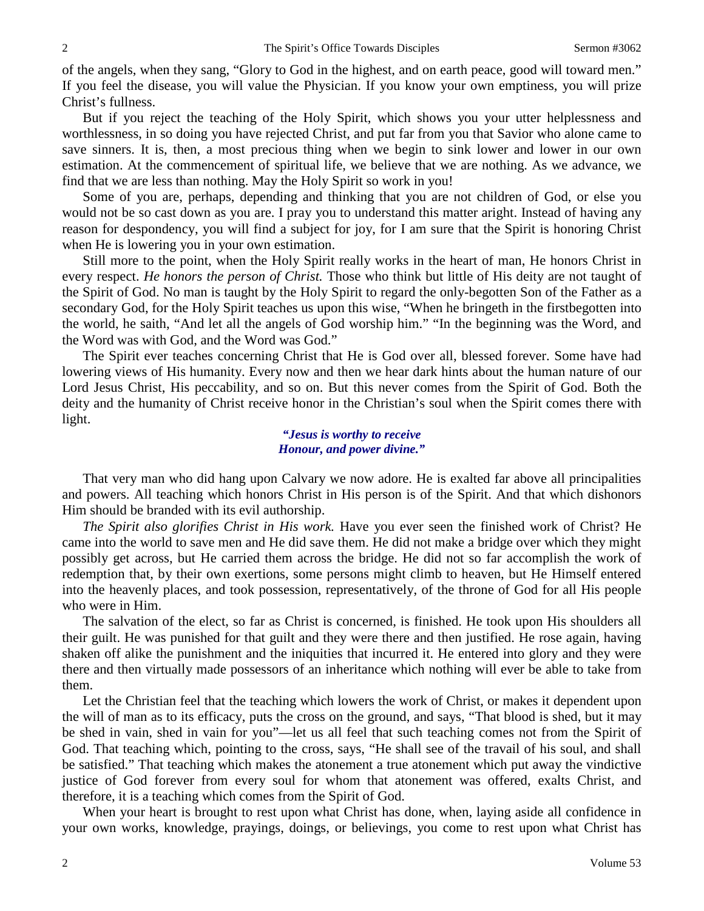of the angels, when they sang, "Glory to God in the highest, and on earth peace, good will toward men." If you feel the disease, you will value the Physician. If you know your own emptiness, you will prize Christ's fullness.

But if you reject the teaching of the Holy Spirit, which shows you your utter helplessness and worthlessness, in so doing you have rejected Christ, and put far from you that Savior who alone came to save sinners. It is, then, a most precious thing when we begin to sink lower and lower in our own estimation. At the commencement of spiritual life, we believe that we are nothing. As we advance, we find that we are less than nothing. May the Holy Spirit so work in you!

Some of you are, perhaps, depending and thinking that you are not children of God, or else you would not be so cast down as you are. I pray you to understand this matter aright. Instead of having any reason for despondency, you will find a subject for joy, for I am sure that the Spirit is honoring Christ when He is lowering you in your own estimation.

Still more to the point, when the Holy Spirit really works in the heart of man, He honors Christ in every respect. *He honors the person of Christ.* Those who think but little of His deity are not taught of the Spirit of God. No man is taught by the Holy Spirit to regard the only-begotten Son of the Father as a secondary God, for the Holy Spirit teaches us upon this wise, "When he bringeth in the firstbegotten into the world, he saith, "And let all the angels of God worship him." "In the beginning was the Word, and the Word was with God, and the Word was God."

The Spirit ever teaches concerning Christ that He is God over all, blessed forever. Some have had lowering views of His humanity. Every now and then we hear dark hints about the human nature of our Lord Jesus Christ, His peccability, and so on. But this never comes from the Spirit of God. Both the deity and the humanity of Christ receive honor in the Christian's soul when the Spirit comes there with light.

#### *"Jesus is worthy to receive Honour, and power divine."*

That very man who did hang upon Calvary we now adore. He is exalted far above all principalities and powers. All teaching which honors Christ in His person is of the Spirit. And that which dishonors Him should be branded with its evil authorship.

*The Spirit also glorifies Christ in His work.* Have you ever seen the finished work of Christ? He came into the world to save men and He did save them. He did not make a bridge over which they might possibly get across, but He carried them across the bridge. He did not so far accomplish the work of redemption that, by their own exertions, some persons might climb to heaven, but He Himself entered into the heavenly places, and took possession, representatively, of the throne of God for all His people who were in Him.

The salvation of the elect, so far as Christ is concerned, is finished. He took upon His shoulders all their guilt. He was punished for that guilt and they were there and then justified. He rose again, having shaken off alike the punishment and the iniquities that incurred it. He entered into glory and they were there and then virtually made possessors of an inheritance which nothing will ever be able to take from them.

Let the Christian feel that the teaching which lowers the work of Christ, or makes it dependent upon the will of man as to its efficacy, puts the cross on the ground, and says, "That blood is shed, but it may be shed in vain, shed in vain for you"—let us all feel that such teaching comes not from the Spirit of God. That teaching which, pointing to the cross, says, "He shall see of the travail of his soul, and shall be satisfied." That teaching which makes the atonement a true atonement which put away the vindictive justice of God forever from every soul for whom that atonement was offered, exalts Christ, and therefore, it is a teaching which comes from the Spirit of God.

When your heart is brought to rest upon what Christ has done, when, laying aside all confidence in your own works, knowledge, prayings, doings, or believings, you come to rest upon what Christ has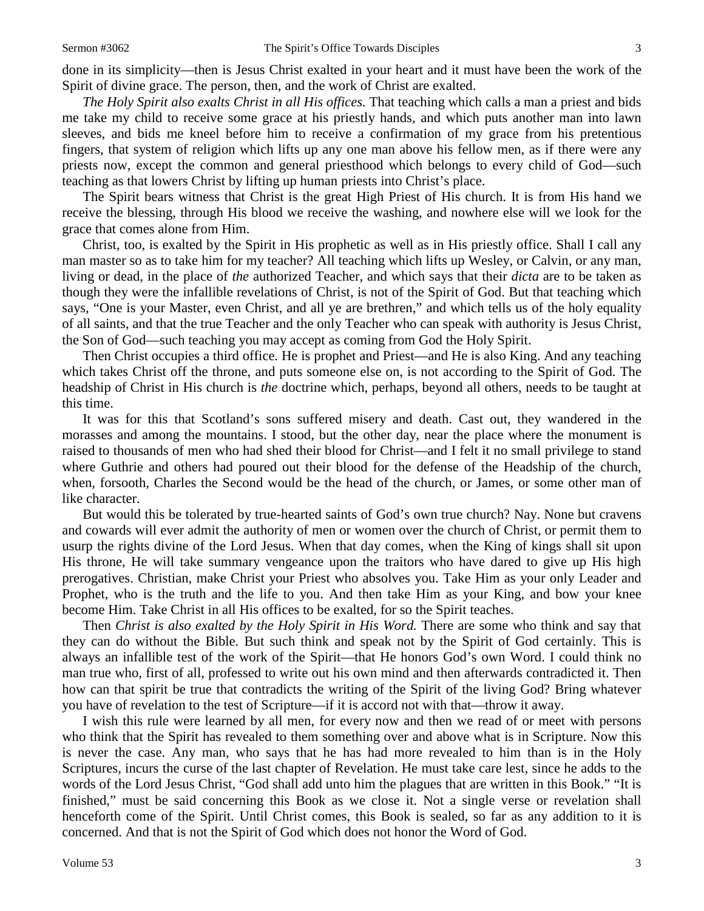done in its simplicity—then is Jesus Christ exalted in your heart and it must have been the work of the Spirit of divine grace. The person, then, and the work of Christ are exalted.

*The Holy Spirit also exalts Christ in all His offices.* That teaching which calls a man a priest and bids me take my child to receive some grace at his priestly hands, and which puts another man into lawn sleeves, and bids me kneel before him to receive a confirmation of my grace from his pretentious fingers, that system of religion which lifts up any one man above his fellow men, as if there were any priests now, except the common and general priesthood which belongs to every child of God—such teaching as that lowers Christ by lifting up human priests into Christ's place.

The Spirit bears witness that Christ is the great High Priest of His church. It is from His hand we receive the blessing, through His blood we receive the washing, and nowhere else will we look for the grace that comes alone from Him.

Christ, too, is exalted by the Spirit in His prophetic as well as in His priestly office. Shall I call any man master so as to take him for my teacher? All teaching which lifts up Wesley, or Calvin, or any man, living or dead, in the place of *the* authorized Teacher, and which says that their *dicta* are to be taken as though they were the infallible revelations of Christ, is not of the Spirit of God. But that teaching which says*,* "One is your Master, even Christ, and all ye are brethren," and which tells us of the holy equality of all saints, and that the true Teacher and the only Teacher who can speak with authority is Jesus Christ, the Son of God—such teaching you may accept as coming from God the Holy Spirit.

Then Christ occupies a third office. He is prophet and Priest—and He is also King. And any teaching which takes Christ off the throne, and puts someone else on, is not according to the Spirit of God. The headship of Christ in His church is *the* doctrine which, perhaps, beyond all others, needs to be taught at this time.

It was for this that Scotland's sons suffered misery and death. Cast out, they wandered in the morasses and among the mountains. I stood, but the other day, near the place where the monument is raised to thousands of men who had shed their blood for Christ—and I felt it no small privilege to stand where Guthrie and others had poured out their blood for the defense of the Headship of the church, when, forsooth, Charles the Second would be the head of the church, or James, or some other man of like character.

But would this be tolerated by true-hearted saints of God's own true church? Nay. None but cravens and cowards will ever admit the authority of men or women over the church of Christ, or permit them to usurp the rights divine of the Lord Jesus. When that day comes, when the King of kings shall sit upon His throne, He will take summary vengeance upon the traitors who have dared to give up His high prerogatives. Christian, make Christ your Priest who absolves you. Take Him as your only Leader and Prophet, who is the truth and the life to you. And then take Him as your King, and bow your knee become Him. Take Christ in all His offices to be exalted, for so the Spirit teaches.

Then *Christ is also exalted by the Holy Spirit in His Word.* There are some who think and say that they can do without the Bible. But such think and speak not by the Spirit of God certainly. This is always an infallible test of the work of the Spirit—that He honors God's own Word. I could think no man true who, first of all, professed to write out his own mind and then afterwards contradicted it. Then how can that spirit be true that contradicts the writing of the Spirit of the living God? Bring whatever you have of revelation to the test of Scripture—if it is accord not with that—throw it away.

I wish this rule were learned by all men, for every now and then we read of or meet with persons who think that the Spirit has revealed to them something over and above what is in Scripture. Now this is never the case. Any man, who says that he has had more revealed to him than is in the Holy Scriptures, incurs the curse of the last chapter of Revelation. He must take care lest, since he adds to the words of the Lord Jesus Christ, "God shall add unto him the plagues that are written in this Book." "It is finished," must be said concerning this Book as we close it. Not a single verse or revelation shall henceforth come of the Spirit. Until Christ comes, this Book is sealed, so far as any addition to it is concerned. And that is not the Spirit of God which does not honor the Word of God.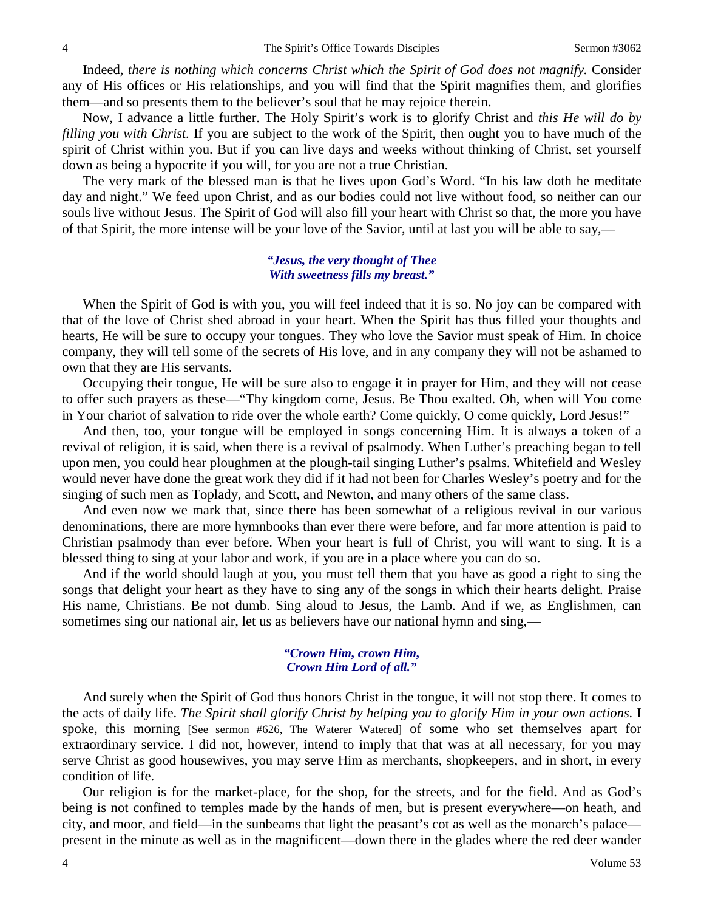Indeed, *there is nothing which concerns Christ which the Spirit of God does not magnify.* Consider any of His offices or His relationships, and you will find that the Spirit magnifies them, and glorifies them—and so presents them to the believer's soul that he may rejoice therein.

Now, I advance a little further. The Holy Spirit's work is to glorify Christ and *this He will do by filling you with Christ.* If you are subject to the work of the Spirit, then ought you to have much of the spirit of Christ within you. But if you can live days and weeks without thinking of Christ, set yourself down as being a hypocrite if you will, for you are not a true Christian.

The very mark of the blessed man is that he lives upon God's Word. "In his law doth he meditate day and night." We feed upon Christ, and as our bodies could not live without food, so neither can our souls live without Jesus. The Spirit of God will also fill your heart with Christ so that, the more you have of that Spirit, the more intense will be your love of the Savior, until at last you will be able to say,—

#### *"Jesus, the very thought of Thee With sweetness fills my breast."*

When the Spirit of God is with you, you will feel indeed that it is so. No joy can be compared with that of the love of Christ shed abroad in your heart. When the Spirit has thus filled your thoughts and hearts, He will be sure to occupy your tongues. They who love the Savior must speak of Him. In choice company, they will tell some of the secrets of His love, and in any company they will not be ashamed to own that they are His servants.

Occupying their tongue, He will be sure also to engage it in prayer for Him, and they will not cease to offer such prayers as these—"Thy kingdom come, Jesus. Be Thou exalted. Oh, when will You come in Your chariot of salvation to ride over the whole earth? Come quickly, O come quickly, Lord Jesus!"

And then, too, your tongue will be employed in songs concerning Him. It is always a token of a revival of religion, it is said, when there is a revival of psalmody. When Luther's preaching began to tell upon men, you could hear ploughmen at the plough-tail singing Luther's psalms. Whitefield and Wesley would never have done the great work they did if it had not been for Charles Wesley's poetry and for the singing of such men as Toplady, and Scott, and Newton, and many others of the same class.

And even now we mark that, since there has been somewhat of a religious revival in our various denominations, there are more hymnbooks than ever there were before, and far more attention is paid to Christian psalmody than ever before. When your heart is full of Christ, you will want to sing. It is a blessed thing to sing at your labor and work, if you are in a place where you can do so.

And if the world should laugh at you, you must tell them that you have as good a right to sing the songs that delight your heart as they have to sing any of the songs in which their hearts delight. Praise His name, Christians. Be not dumb. Sing aloud to Jesus, the Lamb. And if we, as Englishmen, can sometimes sing our national air, let us as believers have our national hymn and sing,—

#### *"Crown Him, crown Him, Crown Him Lord of all."*

And surely when the Spirit of God thus honors Christ in the tongue, it will not stop there. It comes to the acts of daily life. *The Spirit shall glorify Christ by helping you to glorify Him in your own actions.* I spoke, this morning [See sermon #626, The Waterer Watered] of some who set themselves apart for extraordinary service. I did not, however, intend to imply that that was at all necessary, for you may serve Christ as good housewives, you may serve Him as merchants, shopkeepers, and in short, in every condition of life.

Our religion is for the market-place, for the shop, for the streets, and for the field. And as God's being is not confined to temples made by the hands of men, but is present everywhere—on heath, and city, and moor, and field—in the sunbeams that light the peasant's cot as well as the monarch's palace present in the minute as well as in the magnificent—down there in the glades where the red deer wander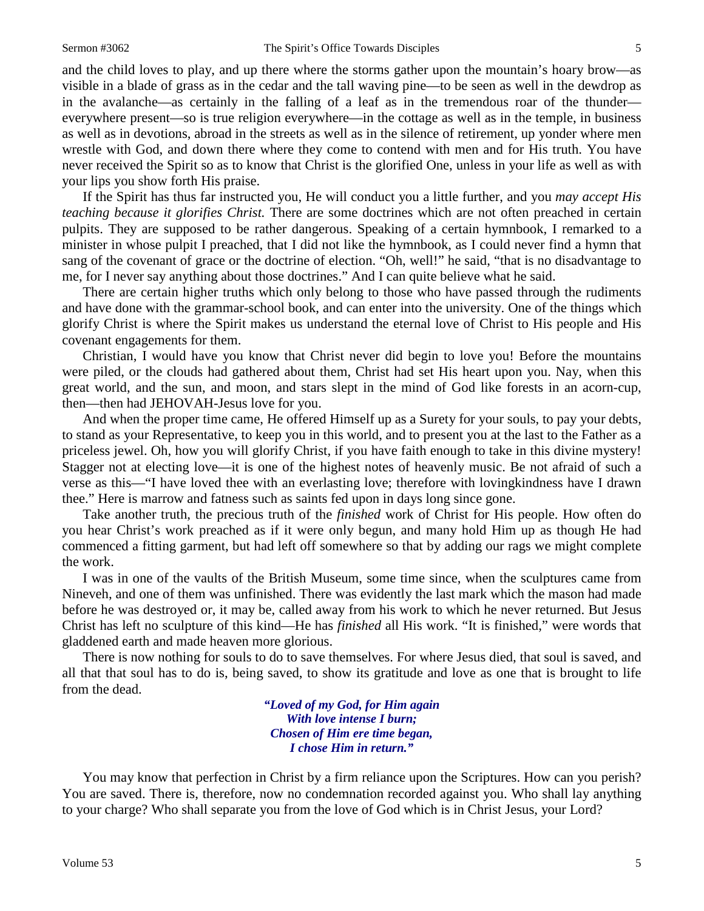and the child loves to play, and up there where the storms gather upon the mountain's hoary brow—as visible in a blade of grass as in the cedar and the tall waving pine—to be seen as well in the dewdrop as in the avalanche—as certainly in the falling of a leaf as in the tremendous roar of the thunder everywhere present—so is true religion everywhere—in the cottage as well as in the temple, in business as well as in devotions, abroad in the streets as well as in the silence of retirement, up yonder where men wrestle with God, and down there where they come to contend with men and for His truth. You have never received the Spirit so as to know that Christ is the glorified One, unless in your life as well as with your lips you show forth His praise.

If the Spirit has thus far instructed you, He will conduct you a little further, and you *may accept His teaching because it glorifies Christ.* There are some doctrines which are not often preached in certain pulpits. They are supposed to be rather dangerous. Speaking of a certain hymnbook, I remarked to a minister in whose pulpit I preached, that I did not like the hymnbook, as I could never find a hymn that sang of the covenant of grace or the doctrine of election. "Oh, well!" he said, "that is no disadvantage to me, for I never say anything about those doctrines." And I can quite believe what he said.

There are certain higher truths which only belong to those who have passed through the rudiments and have done with the grammar-school book, and can enter into the university. One of the things which glorify Christ is where the Spirit makes us understand the eternal love of Christ to His people and His covenant engagements for them.

Christian, I would have you know that Christ never did begin to love you! Before the mountains were piled, or the clouds had gathered about them, Christ had set His heart upon you. Nay, when this great world, and the sun, and moon, and stars slept in the mind of God like forests in an acorn-cup, then—then had JEHOVAH-Jesus love for you.

And when the proper time came, He offered Himself up as a Surety for your souls, to pay your debts, to stand as your Representative, to keep you in this world, and to present you at the last to the Father as a priceless jewel. Oh, how you will glorify Christ, if you have faith enough to take in this divine mystery! Stagger not at electing love—it is one of the highest notes of heavenly music. Be not afraid of such a verse as this—"I have loved thee with an everlasting love; therefore with lovingkindness have I drawn thee." Here is marrow and fatness such as saints fed upon in days long since gone.

Take another truth, the precious truth of the *finished* work of Christ for His people. How often do you hear Christ's work preached as if it were only begun, and many hold Him up as though He had commenced a fitting garment, but had left off somewhere so that by adding our rags we might complete the work.

I was in one of the vaults of the British Museum, some time since, when the sculptures came from Nineveh, and one of them was unfinished. There was evidently the last mark which the mason had made before he was destroyed or, it may be, called away from his work to which he never returned. But Jesus Christ has left no sculpture of this kind—He has *finished* all His work. "It is finished," were words that gladdened earth and made heaven more glorious.

There is now nothing for souls to do to save themselves. For where Jesus died, that soul is saved, and all that that soul has to do is, being saved, to show its gratitude and love as one that is brought to life from the dead.

> *"Loved of my God, for Him again With love intense I burn; Chosen of Him ere time began, I chose Him in return."*

You may know that perfection in Christ by a firm reliance upon the Scriptures. How can you perish? You are saved. There is, therefore, now no condemnation recorded against you. Who shall lay anything to your charge? Who shall separate you from the love of God which is in Christ Jesus, your Lord?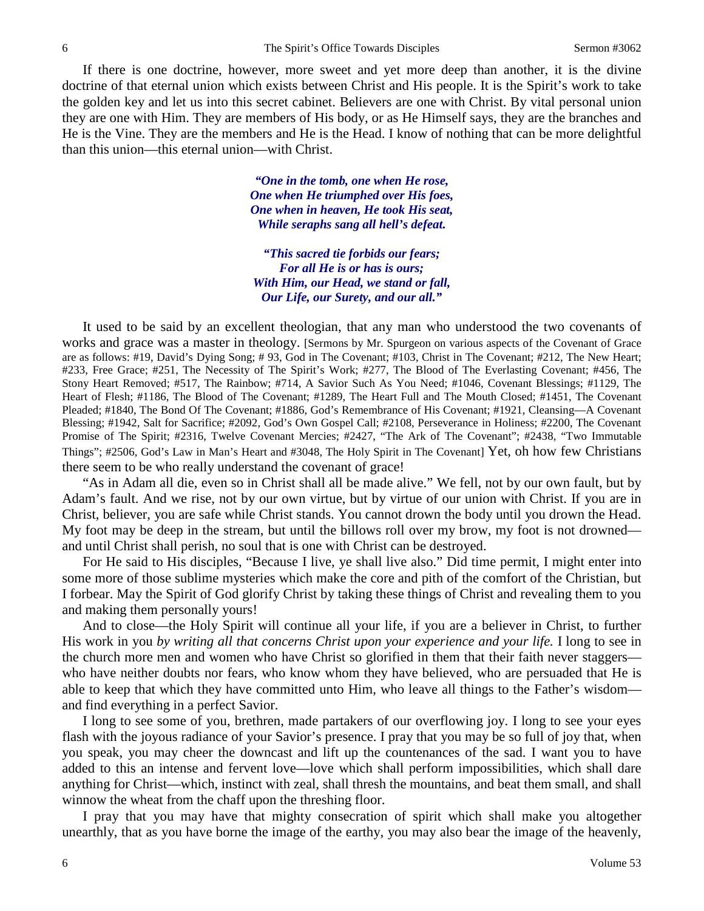If there is one doctrine, however, more sweet and yet more deep than another, it is the divine doctrine of that eternal union which exists between Christ and His people. It is the Spirit's work to take the golden key and let us into this secret cabinet. Believers are one with Christ. By vital personal union they are one with Him. They are members of His body, or as He Himself says, they are the branches and He is the Vine. They are the members and He is the Head. I know of nothing that can be more delightful than this union—this eternal union—with Christ.

> *"One in the tomb, one when He rose, One when He triumphed over His foes, One when in heaven, He took His seat, While seraphs sang all hell's defeat.*

*"This sacred tie forbids our fears; For all He is or has is ours; With Him, our Head, we stand or fall, Our Life, our Surety, and our all."*

It used to be said by an excellent theologian, that any man who understood the two covenants of works and grace was a master in theology. [Sermons by Mr. Spurgeon on various aspects of the Covenant of Grace are as follows: #19, David's Dying Song; # 93, God in The Covenant; #103, Christ in The Covenant; #212, The New Heart; #233, Free Grace; #251, The Necessity of The Spirit's Work; #277, The Blood of The Everlasting Covenant; #456, The Stony Heart Removed; #517, The Rainbow; #714, A Savior Such As You Need; #1046, Covenant Blessings; #1129, The Heart of Flesh; #1186, The Blood of The Covenant; #1289, The Heart Full and The Mouth Closed; #1451, The Covenant Pleaded; #1840, The Bond Of The Covenant; #1886, God's Remembrance of His Covenant; #1921, Cleansing—A Covenant Blessing; #1942, Salt for Sacrifice; #2092, God's Own Gospel Call; #2108, Perseverance in Holiness; #2200, The Covenant Promise of The Spirit; #2316, Twelve Covenant Mercies; #2427, "The Ark of The Covenant"; #2438, "Two Immutable Things"; #2506, God's Law in Man's Heart and #3048, The Holy Spirit in The Covenant] Yet, oh how few Christians there seem to be who really understand the covenant of grace!

"As in Adam all die, even so in Christ shall all be made alive." We fell, not by our own fault, but by Adam's fault. And we rise, not by our own virtue, but by virtue of our union with Christ. If you are in Christ, believer, you are safe while Christ stands. You cannot drown the body until you drown the Head. My foot may be deep in the stream, but until the billows roll over my brow, my foot is not drowned and until Christ shall perish, no soul that is one with Christ can be destroyed.

For He said to His disciples, "Because I live, ye shall live also." Did time permit, I might enter into some more of those sublime mysteries which make the core and pith of the comfort of the Christian, but I forbear. May the Spirit of God glorify Christ by taking these things of Christ and revealing them to you and making them personally yours!

And to close—the Holy Spirit will continue all your life, if you are a believer in Christ, to further His work in you *by writing all that concerns Christ upon your experience and your life.* I long to see in the church more men and women who have Christ so glorified in them that their faith never staggers who have neither doubts nor fears, who know whom they have believed, who are persuaded that He is able to keep that which they have committed unto Him, who leave all things to the Father's wisdom and find everything in a perfect Savior.

I long to see some of you, brethren, made partakers of our overflowing joy. I long to see your eyes flash with the joyous radiance of your Savior's presence. I pray that you may be so full of joy that, when you speak, you may cheer the downcast and lift up the countenances of the sad. I want you to have added to this an intense and fervent love—love which shall perform impossibilities, which shall dare anything for Christ—which, instinct with zeal, shall thresh the mountains, and beat them small, and shall winnow the wheat from the chaff upon the threshing floor.

I pray that you may have that mighty consecration of spirit which shall make you altogether unearthly, that as you have borne the image of the earthy, you may also bear the image of the heavenly,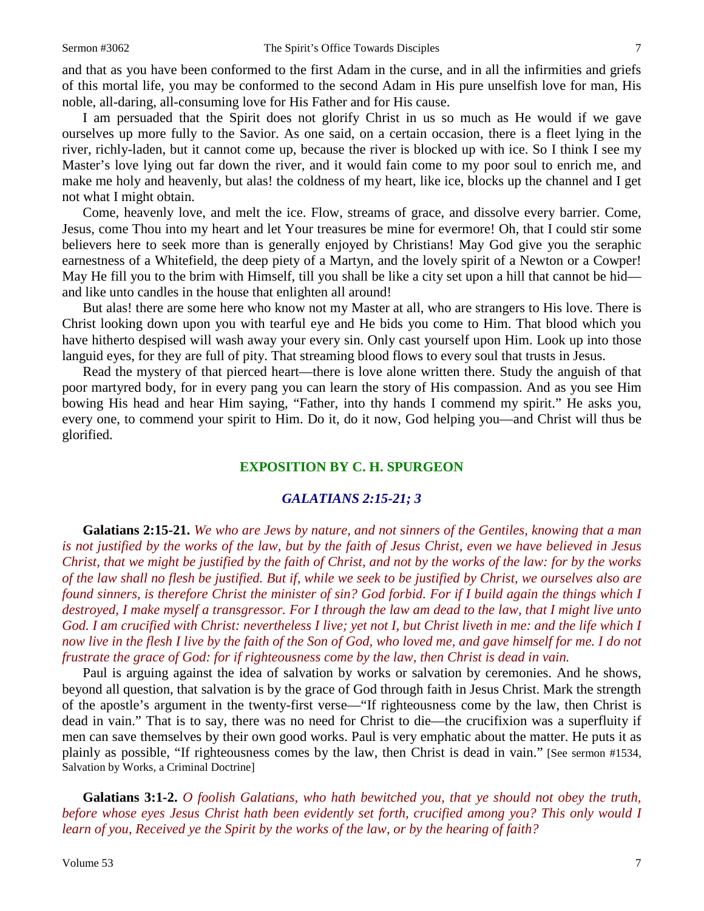and that as you have been conformed to the first Adam in the curse, and in all the infirmities and griefs of this mortal life, you may be conformed to the second Adam in His pure unselfish love for man, His noble, all-daring, all-consuming love for His Father and for His cause.

I am persuaded that the Spirit does not glorify Christ in us so much as He would if we gave ourselves up more fully to the Savior. As one said, on a certain occasion, there is a fleet lying in the river, richly-laden, but it cannot come up, because the river is blocked up with ice. So I think I see my Master's love lying out far down the river, and it would fain come to my poor soul to enrich me, and make me holy and heavenly, but alas! the coldness of my heart, like ice, blocks up the channel and I get not what I might obtain.

Come, heavenly love, and melt the ice. Flow, streams of grace, and dissolve every barrier. Come, Jesus*,* come Thou into my heart and let Your treasures be mine for evermore! Oh, that I could stir some believers here to seek more than is generally enjoyed by Christians! May God give you the seraphic earnestness of a Whitefield, the deep piety of a Martyn, and the lovely spirit of a Newton or a Cowper! May He fill you to the brim with Himself, till you shall be like a city set upon a hill that cannot be hid and like unto candles in the house that enlighten all around!

But alas! there are some here who know not my Master at all, who are strangers to His love. There is Christ looking down upon you with tearful eye and He bids you come to Him. That blood which you have hitherto despised will wash away your every sin. Only cast yourself upon Him. Look up into those languid eyes, for they are full of pity. That streaming blood flows to every soul that trusts in Jesus.

Read the mystery of that pierced heart—there is love alone written there. Study the anguish of that poor martyred body, for in every pang you can learn the story of His compassion. And as you see Him bowing His head and hear Him saying, "Father, into thy hands I commend my spirit." He asks you, every one, to commend your spirit to Him. Do it, do it now, God helping you—and Christ will thus be glorified.

### **EXPOSITION BY C. H. SPURGEON**

### *GALATIANS 2:15-21; 3*

**Galatians 2:15-21.** *We who are Jews by nature, and not sinners of the Gentiles, knowing that a man is not justified by the works of the law, but by the faith of Jesus Christ, even we have believed in Jesus Christ, that we might be justified by the faith of Christ, and not by the works of the law: for by the works of the law shall no flesh be justified. But if, while we seek to be justified by Christ, we ourselves also are found sinners, is therefore Christ the minister of sin? God forbid. For if I build again the things which I destroyed, I make myself a transgressor. For I through the law am dead to the law, that I might live unto God. I am crucified with Christ: nevertheless I live; yet not I, but Christ liveth in me: and the life which I*  now live in the flesh I live by the faith of the Son of God, who loved me, and gave himself for me. I do not *frustrate the grace of God: for if righteousness come by the law, then Christ is dead in vain.*

Paul is arguing against the idea of salvation by works or salvation by ceremonies. And he shows, beyond all question, that salvation is by the grace of God through faith in Jesus Christ. Mark the strength of the apostle's argument in the twenty-first verse—"If righteousness come by the law, then Christ is dead in vain." That is to say, there was no need for Christ to die—the crucifixion was a superfluity if men can save themselves by their own good works. Paul is very emphatic about the matter. He puts it as plainly as possible, "If righteousness comes by the law, then Christ is dead in vain." [See sermon #1534, Salvation by Works, a Criminal Doctrine]

**Galatians 3:1-2.** *O foolish Galatians, who hath bewitched you, that ye should not obey the truth, before whose eyes Jesus Christ hath been evidently set forth, crucified among you? This only would I learn of you, Received ye the Spirit by the works of the law, or by the hearing of faith?*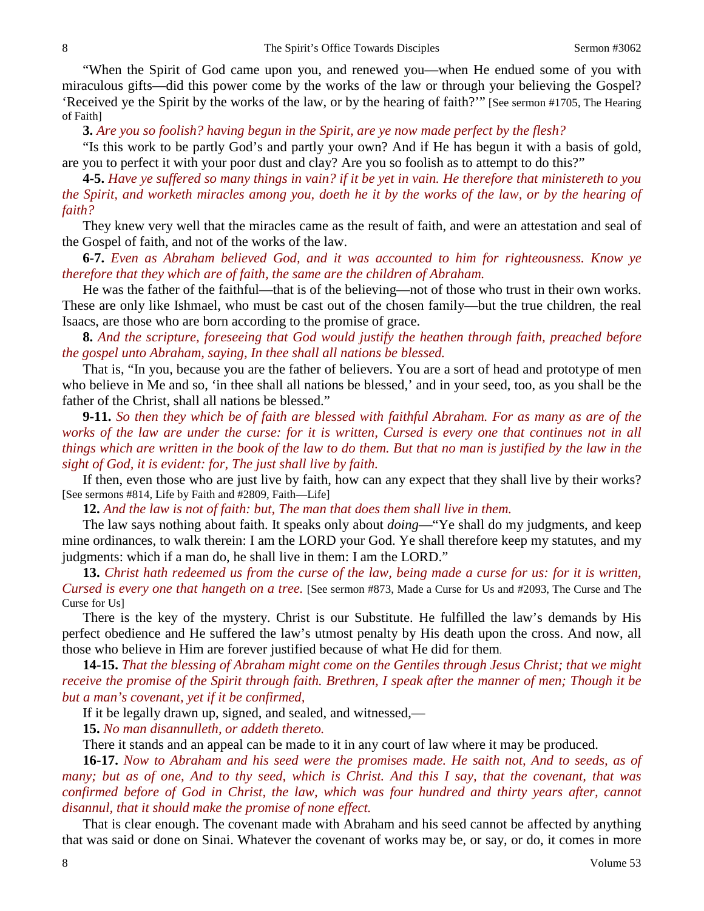"When the Spirit of God came upon you, and renewed you—when He endued some of you with miraculous gifts—did this power come by the works of the law or through your believing the Gospel? 'Received ye the Spirit by the works of the law, or by the hearing of faith?'" [See sermon #1705, The Hearing of Faith]

**3.** *Are you so foolish? having begun in the Spirit, are ye now made perfect by the flesh?*

"Is this work to be partly God's and partly your own? And if He has begun it with a basis of gold, are you to perfect it with your poor dust and clay? Are you so foolish as to attempt to do this?"

**4-5.** *Have ye suffered so many things in vain? if it be yet in vain. He therefore that ministereth to you the Spirit, and worketh miracles among you, doeth he it by the works of the law, or by the hearing of faith?* 

They knew very well that the miracles came as the result of faith, and were an attestation and seal of the Gospel of faith, and not of the works of the law.

**6-7.** *Even as Abraham believed God, and it was accounted to him for righteousness. Know ye therefore that they which are of faith, the same are the children of Abraham.*

He was the father of the faithful—that is of the believing—not of those who trust in their own works. These are only like Ishmael, who must be cast out of the chosen family—but the true children, the real Isaacs, are those who are born according to the promise of grace.

**8.** *And the scripture, foreseeing that God would justify the heathen through faith, preached before the gospel unto Abraham, saying, In thee shall all nations be blessed.*

That is, "In you, because you are the father of believers. You are a sort of head and prototype of men who believe in Me and so, 'in thee shall all nations be blessed,' and in your seed, too, as you shall be the father of the Christ, shall all nations be blessed."

**9-11.** *So then they which be of faith are blessed with faithful Abraham. For as many as are of the works of the law are under the curse: for it is written, Cursed is every one that continues not in all things which are written in the book of the law to do them. But that no man is justified by the law in the sight of God, it is evident: for, The just shall live by faith.*

If then, even those who are just live by faith, how can any expect that they shall live by their works? [See sermons #814, Life by Faith and #2809, Faith—Life]

**12.** *And the law is not of faith: but, The man that does them shall live in them.*

The law says nothing about faith. It speaks only about *doing*—"Ye shall do my judgments, and keep mine ordinances, to walk therein: I am the LORD your God. Ye shall therefore keep my statutes, and my judgments: which if a man do, he shall live in them: I am the LORD."

**13.** *Christ hath redeemed us from the curse of the law, being made a curse for us: for it is written, Cursed is every one that hangeth on a tree.* [See sermon #873, Made a Curse for Us and #2093, The Curse and The Curse for Us]

There is the key of the mystery. Christ is our Substitute. He fulfilled the law's demands by His perfect obedience and He suffered the law's utmost penalty by His death upon the cross. And now, all those who believe in Him are forever justified because of what He did for them.

**14-15.** *That the blessing of Abraham might come on the Gentiles through Jesus Christ; that we might receive the promise of the Spirit through faith. Brethren, I speak after the manner of men; Though it be but a man's covenant, yet if it be confirmed,*

If it be legally drawn up, signed, and sealed, and witnessed,—

**15.** *No man disannulleth, or addeth thereto.*

There it stands and an appeal can be made to it in any court of law where it may be produced.

**16-17.** *Now to Abraham and his seed were the promises made. He saith not, And to seeds, as of many; but as of one, And to thy seed, which is Christ. And this I say, that the covenant, that was confirmed before of God in Christ, the law, which was four hundred and thirty years after, cannot disannul, that it should make the promise of none effect.*

That is clear enough. The covenant made with Abraham and his seed cannot be affected by anything that was said or done on Sinai. Whatever the covenant of works may be, or say, or do, it comes in more